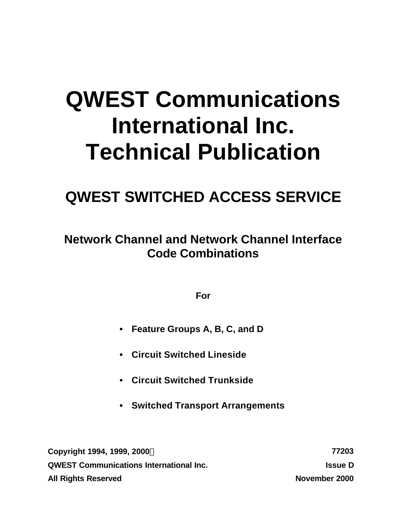# **QWEST Communications International Inc. Technical Publication**

## **QWEST SWITCHED ACCESS SERVICE**

**Network Channel and Network Channel Interface Code Combinations**

**For**

- **• Feature Groups A, B, C, and D**
- **• Circuit Switched Lineside**
- **• Circuit Switched Trunkside**
- **• Switched Transport Arrangements**

**Copyright 1994, 1999, 2000Ó 77203 QWEST Communications International Inc. Issue D All Rights Reserved November 2000**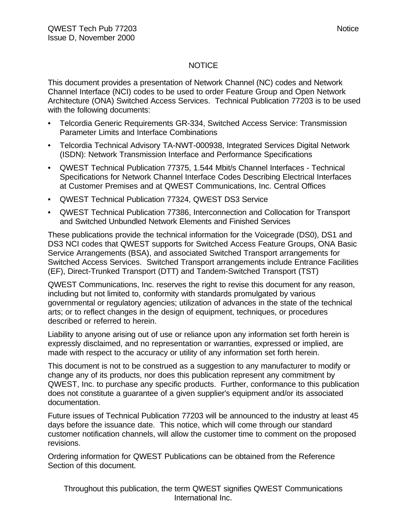#### **NOTICE**

This document provides a presentation of Network Channel (NC) codes and Network Channel Interface (NCI) codes to be used to order Feature Group and Open Network Architecture (ONA) Switched Access Services. Technical Publication 77203 is to be used with the following documents:

- Telcordia Generic Requirements GR-334, Switched Access Service: Transmission Parameter Limits and Interface Combinations
- Telcordia Technical Advisory TA-NWT-000938, Integrated Services Digital Network (ISDN): Network Transmission Interface and Performance Specifications
- QWEST Technical Publication 77375, 1.544 Mbit/s Channel Interfaces Technical Specifications for Network Channel Interface Codes Describing Electrical Interfaces at Customer Premises and at QWEST Communications, Inc. Central Offices
- QWEST Technical Publication 77324, QWEST DS3 Service
- QWEST Technical Publication 77386, Interconnection and Collocation for Transport and Switched Unbundled Network Elements and Finished Services

These publications provide the technical information for the Voicegrade (DS0), DS1 and DS3 NCI codes that QWEST supports for Switched Access Feature Groups, ONA Basic Service Arrangements (BSA), and associated Switched Transport arrangements for Switched Access Services. Switched Transport arrangements include Entrance Facilities (EF), Direct-Trunked Transport (DTT) and Tandem-Switched Transport (TST)

QWEST Communications, Inc. reserves the right to revise this document for any reason, including but not limited to, conformity with standards promulgated by various governmental or regulatory agencies; utilization of advances in the state of the technical arts; or to reflect changes in the design of equipment, techniques, or procedures described or referred to herein.

Liability to anyone arising out of use or reliance upon any information set forth herein is expressly disclaimed, and no representation or warranties, expressed or implied, are made with respect to the accuracy or utility of any information set forth herein.

This document is not to be construed as a suggestion to any manufacturer to modify or change any of its products, nor does this publication represent any commitment by QWEST, Inc. to purchase any specific products. Further, conformance to this publication does not constitute a guarantee of a given supplier's equipment and/or its associated documentation.

Future issues of Technical Publication 77203 will be announced to the industry at least 45 days before the issuance date. This notice, which will come through our standard customer notification channels, will allow the customer time to comment on the proposed revisions.

Ordering information for QWEST Publications can be obtained from the Reference Section of this document.

Throughout this publication, the term QWEST signifies QWEST Communications International Inc.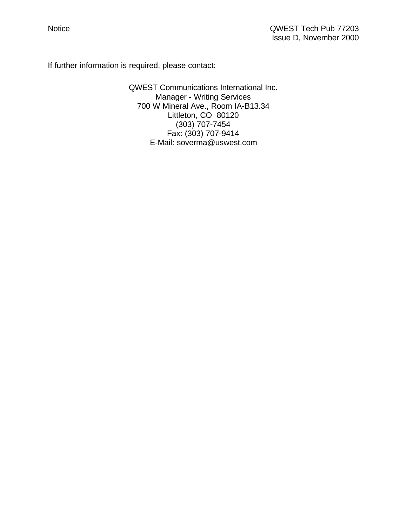If further information is required, please contact:

QWEST Communications International Inc. Manager - Writing Services 700 W Mineral Ave., Room IA-B13.34 Littleton, CO 80120 (303) 707-7454 Fax: (303) 707-9414 E-Mail: soverma@uswest.com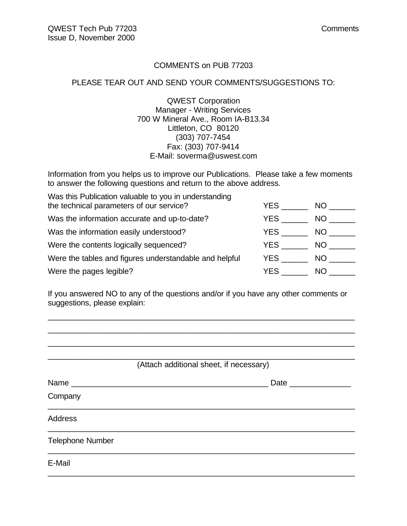#### COMMENTS on PUB 77203

#### PLEASE TEAR OUT AND SEND YOUR COMMENTS/SUGGESTIONS TO:

QWEST Corporation Manager - Writing Services 700 W Mineral Ave., Room IA-B13.34 Littleton, CO 80120 (303) 707-7454 Fax: (303) 707-9414 E-Mail: soverma@uswest.com

Information from you helps us to improve our Publications. Please take a few moments to answer the following questions and return to the above address.

| Was this Publication valuable to you in understanding  |      |     |
|--------------------------------------------------------|------|-----|
| the technical parameters of our service?               | YES  | NO. |
| Was the information accurate and up-to-date?           | YES. | NO. |
| Was the information easily understood?                 | YES  | NO. |
| Were the contents logically sequenced?                 | YES  | NO. |
| Were the tables and figures understandable and helpful | YES  | NO. |
| Were the pages legible?                                | YES  | NO. |

If you answered NO to any of the questions and/or if you have any other comments or suggestions, please explain:

\_\_\_\_\_\_\_\_\_\_\_\_\_\_\_\_\_\_\_\_\_\_\_\_\_\_\_\_\_\_\_\_\_\_\_\_\_\_\_\_\_\_\_\_\_\_\_\_\_\_\_\_\_\_\_\_\_\_\_\_\_\_\_\_\_\_\_\_\_\_ \_\_\_\_\_\_\_\_\_\_\_\_\_\_\_\_\_\_\_\_\_\_\_\_\_\_\_\_\_\_\_\_\_\_\_\_\_\_\_\_\_\_\_\_\_\_\_\_\_\_\_\_\_\_\_\_\_\_\_\_\_\_\_\_\_\_\_\_\_\_

| (Attach additional sheet, if necessary) |                     |
|-----------------------------------------|---------------------|
|                                         |                     |
|                                         |                     |
|                                         |                     |
|                                         |                     |
|                                         |                     |
|                                         | Date ______________ |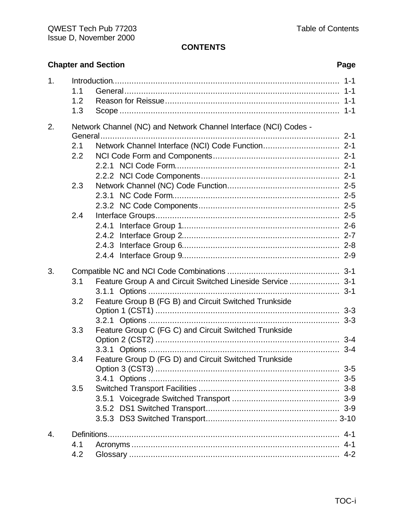#### **CONTENTS**

### **Chapter and Section**

| 1. | 1.1 |                                                                  |         |
|----|-----|------------------------------------------------------------------|---------|
|    | 1.2 |                                                                  |         |
|    | 1.3 |                                                                  |         |
| 2. |     | Network Channel (NC) and Network Channel Interface (NCI) Codes - |         |
|    |     |                                                                  |         |
|    | 2.1 |                                                                  |         |
|    | 2.2 |                                                                  |         |
|    |     |                                                                  |         |
|    |     |                                                                  |         |
|    | 2.3 |                                                                  |         |
|    |     |                                                                  |         |
|    |     |                                                                  |         |
|    | 2.4 |                                                                  |         |
|    |     |                                                                  |         |
|    |     |                                                                  |         |
|    |     |                                                                  |         |
|    |     |                                                                  |         |
| 3. |     |                                                                  |         |
|    | 3.1 | Feature Group A and Circuit Switched Lineside Service  3-1       |         |
|    |     |                                                                  |         |
|    | 3.2 | Feature Group B (FG B) and Circuit Switched Trunkside            |         |
|    |     |                                                                  |         |
|    |     |                                                                  |         |
|    | 3.3 | Feature Group C (FG C) and Circuit Switched Trunkside            |         |
|    |     |                                                                  |         |
|    |     |                                                                  |         |
|    | 3.4 | Feature Group D (FG D) and Circuit Switched Trunkside            |         |
|    |     |                                                                  | $3-5$   |
|    | 3.5 |                                                                  |         |
|    |     |                                                                  |         |
|    |     |                                                                  |         |
|    |     |                                                                  |         |
|    |     |                                                                  |         |
| 4. |     |                                                                  | $4 - 1$ |
|    | 4.1 |                                                                  | $4 - 1$ |
|    | 4.2 |                                                                  |         |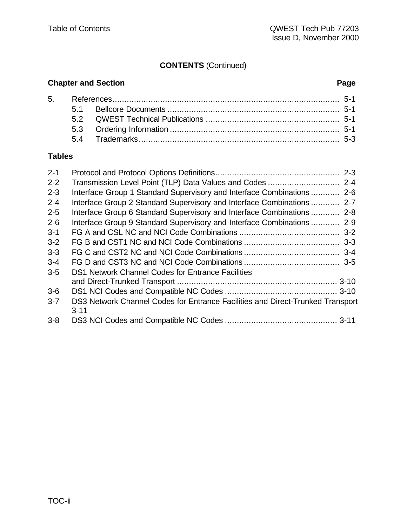#### **CONTENTS** (Continued)

#### **Chapter and Section Page**

#### **Tables**

| $2 - 1$ |                                                                                            | $2 - 3$ |
|---------|--------------------------------------------------------------------------------------------|---------|
| $2 - 2$ |                                                                                            |         |
| $2 - 3$ | Interface Group 1 Standard Supervisory and Interface Combinations  2-6                     |         |
| $2 - 4$ | Interface Group 2 Standard Supervisory and Interface Combinations  2-7                     |         |
| $2 - 5$ | Interface Group 6 Standard Supervisory and Interface Combinations  2-8                     |         |
| $2 - 6$ | Interface Group 9 Standard Supervisory and Interface Combinations  2-9                     |         |
| $3 - 1$ |                                                                                            |         |
| $3 - 2$ |                                                                                            |         |
| $3 - 3$ |                                                                                            |         |
| $3 - 4$ |                                                                                            |         |
| $3-5$   | <b>DS1 Network Channel Codes for Entrance Facilities</b>                                   |         |
|         |                                                                                            |         |
| $3-6$   |                                                                                            |         |
| $3 - 7$ | DS3 Network Channel Codes for Entrance Facilities and Direct-Trunked Transport<br>$3 - 11$ |         |
| $3 - 8$ |                                                                                            |         |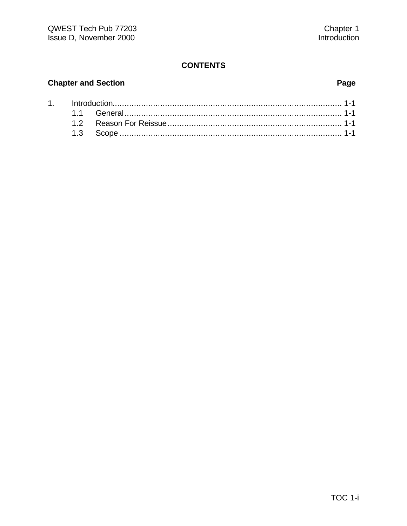#### **CONTENTS**

### **Chapter and Section**

### Page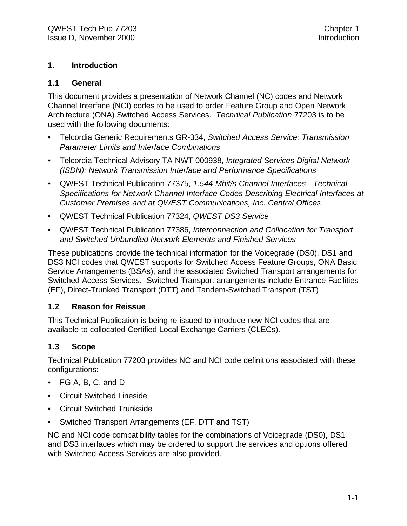#### **1. Introduction**

#### **1.1 General**

This document provides a presentation of Network Channel (NC) codes and Network Channel Interface (NCI) codes to be used to order Feature Group and Open Network Architecture (ONA) Switched Access Services. *Technical Publication* 77203 is to be used with the following documents:

- Telcordia Generic Requirements GR-334, *Switched Access Service: Transmission Parameter Limits and Interface Combinations*
- Telcordia Technical Advisory TA-NWT-000938, *Integrated Services Digital Network (ISDN): Network Transmission Interface and Performance Specifications*
- QWEST Technical Publication 77375, *1.544 Mbit/s Channel Interfaces Technical Specifications for Network Channel Interface Codes Describing Electrical Interfaces at Customer Premises and at QWEST Communications, Inc. Central Offices*
- QWEST Technical Publication 77324, *QWEST DS3 Service*
- QWEST Technical Publication 77386, *Interconnection and Collocation for Transport and Switched Unbundled Network Elements and Finished Services*

These publications provide the technical information for the Voicegrade (DS0), DS1 and DS3 NCI codes that QWEST supports for Switched Access Feature Groups, ONA Basic Service Arrangements (BSAs), and the associated Switched Transport arrangements for Switched Access Services. Switched Transport arrangements include Entrance Facilities (EF), Direct-Trunked Transport (DTT) and Tandem-Switched Transport (TST)

#### **1.2 Reason for Reissue**

This Technical Publication is being re-issued to introduce new NCI codes that are available to collocated Certified Local Exchange Carriers (CLECs).

#### **1.3 Scope**

Technical Publication 77203 provides NC and NCI code definitions associated with these configurations:

- FG A, B, C, and D
- Circuit Switched Lineside
- Circuit Switched Trunkside
- Switched Transport Arrangements (EF, DTT and TST)

NC and NCI code compatibility tables for the combinations of Voicegrade (DS0), DS1 and DS3 interfaces which may be ordered to support the services and options offered with Switched Access Services are also provided.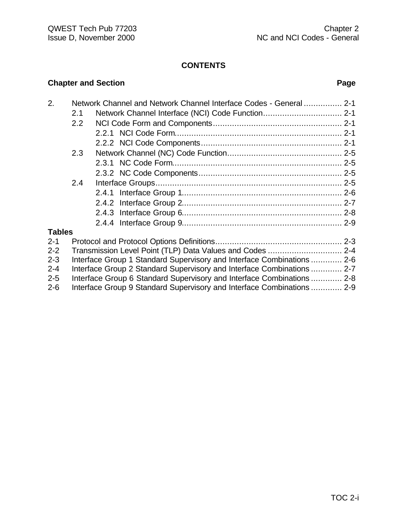#### **CONTENTS**

#### **Chapter and Section Page**

| 2.            |               | Network Channel and Network Channel Interface Codes - General  2-1     |  |
|---------------|---------------|------------------------------------------------------------------------|--|
|               | 2.1           |                                                                        |  |
|               | $2.2^{\circ}$ |                                                                        |  |
|               |               |                                                                        |  |
|               |               |                                                                        |  |
|               | 2.3           |                                                                        |  |
|               |               |                                                                        |  |
|               |               |                                                                        |  |
|               | 2.4           |                                                                        |  |
|               |               |                                                                        |  |
|               |               |                                                                        |  |
|               |               |                                                                        |  |
|               |               |                                                                        |  |
| <b>Tables</b> |               |                                                                        |  |
| $2 - 1$       |               |                                                                        |  |
| $2 - 2$       |               | Transmission Level Point (TLP) Data Values and Codes  2-4              |  |
| $2 - 3$       |               | Interface Group 1 Standard Supervisory and Interface Combinations  2-6 |  |
| $2 - 4$       |               | Interface Group 2 Standard Supervisory and Interface Combinations  2-7 |  |
| $2 - 5$       |               | Interface Group 6 Standard Supervisory and Interface Combinations  2-8 |  |
| $2 - 6$       |               | Interface Group 9 Standard Supervisory and Interface Combinations  2-9 |  |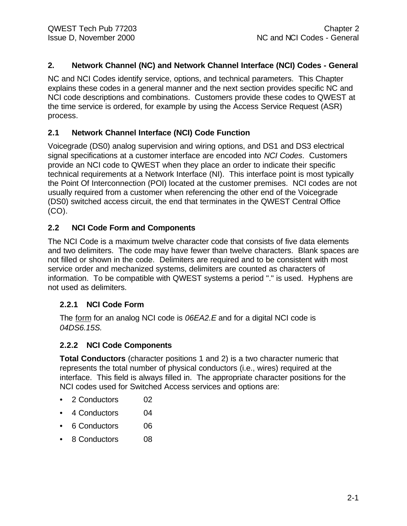#### **2. Network Channel (NC) and Network Channel Interface (NCI) Codes - General**

NC and NCI Codes identify service, options, and technical parameters. This Chapter explains these codes in a general manner and the next section provides specific NC and NCI code descriptions and combinations. Customers provide these codes to QWEST at the time service is ordered, for example by using the Access Service Request (ASR) process.

#### **2.1 Network Channel Interface (NCI) Code Function**

Voicegrade (DS0) analog supervision and wiring options, and DS1 and DS3 electrical signal specifications at a customer interface are encoded into *NCI Codes*. Customers provide an NCI code to QWEST when they place an order to indicate their specific technical requirements at a Network Interface (NI). This interface point is most typically the Point Of Interconnection (POI) located at the customer premises. NCI codes are not usually required from a customer when referencing the other end of the Voicegrade (DS0) switched access circuit, the end that terminates in the QWEST Central Office (CO).

#### **2.2 NCI Code Form and Components**

The NCI Code is a maximum twelve character code that consists of five data elements and two delimiters. The code may have fewer than twelve characters. Blank spaces are not filled or shown in the code. Delimiters are required and to be consistent with most service order and mechanized systems, delimiters are counted as characters of information. To be compatible with QWEST systems a period "." is used. Hyphens are not used as delimiters.

#### **2.2.1 NCI Code Form**

The form for an analog NCI code is *06EA2.E* and for a digital NCI code is *04DS6.15S.*

#### **2.2.2 NCI Code Components**

**Total Conductors** (character positions 1 and 2) is a two character numeric that represents the total number of physical conductors (i.e., wires) required at the interface. This field is always filled in. The appropriate character positions for the NCI codes used for Switched Access services and options are:

- 2 Conductors 02
- 4 Conductors 04
- 6 Conductors 06
- 8 Conductors 08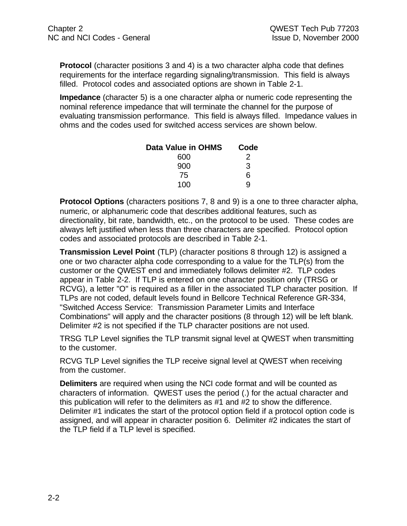**Protocol** (character positions 3 and 4) is a two character alpha code that defines requirements for the interface regarding signaling/transmission. This field is always filled. Protocol codes and associated options are shown in Table 2-1.

**Impedance** (character 5) is a one character alpha or numeric code representing the nominal reference impedance that will terminate the channel for the purpose of evaluating transmission performance. This field is always filled. Impedance values in ohms and the codes used for switched access services are shown below.

| Data Value in OHMS | Code |
|--------------------|------|
| 600                | 2    |
| 900                | 3    |
| 75                 | 6    |
| 100                | a    |

**Protocol Options** (characters positions 7, 8 and 9) is a one to three character alpha, numeric, or alphanumeric code that describes additional features, such as directionality, bit rate, bandwidth, etc., on the protocol to be used. These codes are always left justified when less than three characters are specified. Protocol option codes and associated protocols are described in Table 2-1.

**Transmission Level Point** (TLP) (character positions 8 through 12) is assigned a one or two character alpha code corresponding to a value for the TLP(s) from the customer or the QWEST end and immediately follows delimiter #2. TLP codes appear in Table 2-2. If TLP is entered on one character position only (TRSG or RCVG), a letter "O" is required as a filler in the associated TLP character position. If TLPs are not coded, default levels found in Bellcore Technical Reference GR-334, "Switched Access Service: Transmission Parameter Limits and Interface Combinations" will apply and the character positions (8 through 12) will be left blank. Delimiter #2 is not specified if the TLP character positions are not used.

TRSG TLP Level signifies the TLP transmit signal level at QWEST when transmitting to the customer.

RCVG TLP Level signifies the TLP receive signal level at QWEST when receiving from the customer.

**Delimiters** are required when using the NCI code format and will be counted as characters of information. QWEST uses the period (.) for the actual character and this publication will refer to the delimiters as #1 and #2 to show the difference. Delimiter #1 indicates the start of the protocol option field if a protocol option code is assigned, and will appear in character position 6. Delimiter #2 indicates the start of the TLP field if a TLP level is specified.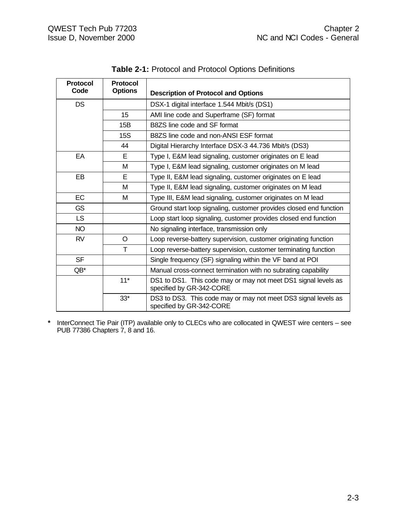| <b>Protocol</b><br>Code | <b>Protocol</b><br><b>Options</b> | <b>Description of Protocol and Options</b>                                                 |  |
|-------------------------|-----------------------------------|--------------------------------------------------------------------------------------------|--|
| <b>DS</b>               |                                   | DSX-1 digital interface 1.544 Mbit/s (DS1)                                                 |  |
|                         | 15                                | AMI line code and Superframe (SF) format                                                   |  |
|                         | B8ZS line code and SF format      |                                                                                            |  |
|                         | 15S                               | B8ZS line code and non-ANSI ESF format                                                     |  |
|                         | 44                                | Digital Hierarchy Interface DSX-3 44.736 Mbit/s (DS3)                                      |  |
| EA                      | E.                                | Type I, E&M lead signaling, customer originates on E lead                                  |  |
|                         | M                                 | Type I, E&M lead signaling, customer originates on M lead                                  |  |
| EB                      | E.                                | Type II, E&M lead signaling, customer originates on E lead                                 |  |
| М                       |                                   | Type II, E&M lead signaling, customer originates on M lead                                 |  |
| <b>EC</b>               | м                                 | Type III, E&M lead signaling, customer originates on M lead                                |  |
| <b>GS</b>               |                                   | Ground start loop signaling, customer provides closed end function                         |  |
| LS.                     |                                   | Loop start loop signaling, customer provides closed end function                           |  |
| <b>NO</b>               |                                   | No signaling interface, transmission only                                                  |  |
| <b>RV</b>               | O                                 | Loop reverse-battery supervision, customer originating function                            |  |
|                         | T                                 | Loop reverse-battery supervision, customer terminating function                            |  |
| <b>SF</b>               |                                   | Single frequency (SF) signaling within the VF band at POI                                  |  |
| $QB^*$                  |                                   | Manual cross-connect termination with no subrating capability                              |  |
|                         | $11*$                             | DS1 to DS1. This code may or may not meet DS1 signal levels as<br>specified by GR-342-CORE |  |
|                         | $33*$                             | DS3 to DS3. This code may or may not meet DS3 signal levels as<br>specified by GR-342-CORE |  |

| Table 2-1: Protocol and Protocol Options Definitions |  |  |
|------------------------------------------------------|--|--|
|                                                      |  |  |

**\*** InterConnect Tie Pair (ITP) available only to CLECs who are collocated in QWEST wire centers – see PUB 77386 Chapters 7, 8 and 16.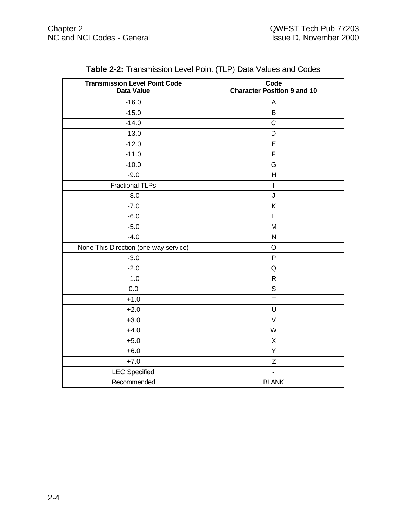| <b>Transmission Level Point Code</b><br><b>Data Value</b> | Code<br><b>Character Position 9 and 10</b> |
|-----------------------------------------------------------|--------------------------------------------|
| $-16.0$                                                   | A                                          |
| $-15.0$                                                   | B                                          |
| $-14.0$                                                   | $\mathsf C$                                |
| $-13.0$                                                   | D                                          |
| $-12.0$                                                   | E                                          |
| $-11.0$                                                   | $\mathsf F$                                |
| $-10.0$                                                   | G                                          |
| $-9.0$                                                    | H                                          |
| <b>Fractional TLPs</b>                                    | I                                          |
| $-8.0$                                                    | J                                          |
| $-7.0$                                                    | Κ                                          |
| $-6.0$                                                    | L                                          |
| $-5.0$                                                    | M                                          |
| $-4.0$                                                    | ${\sf N}$                                  |
| None This Direction (one way service)                     | $\circ$                                    |
| $-3.0$                                                    | P                                          |
| $-2.0$                                                    | Q                                          |
| $-1.0$                                                    | $\mathsf R$                                |
| 0.0                                                       | $\mathsf S$                                |
| $+1.0$                                                    | $\top$                                     |
| $+2.0$                                                    | U                                          |
| $+3.0$                                                    | $\vee$                                     |
| $+4.0$                                                    | W                                          |
| $+5.0$                                                    | X                                          |
| $+6.0$                                                    | Υ                                          |
| $+7.0$                                                    | Ζ                                          |
| <b>LEC</b> Specified                                      |                                            |
| Recommended                                               | <b>BLANK</b>                               |

**Table 2-2:** Transmission Level Point (TLP) Data Values and Codes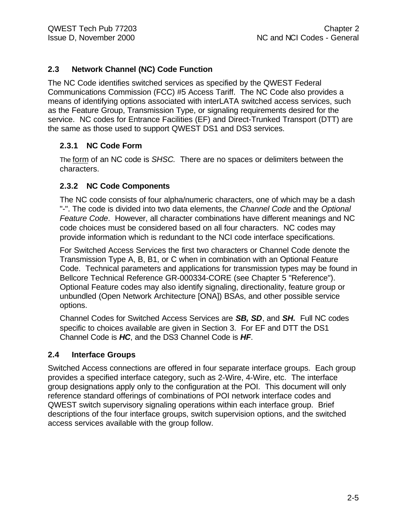#### **2.3 Network Channel (NC) Code Function**

The NC Code identifies switched services as specified by the QWEST Federal Communications Commission (FCC) #5 Access Tariff. The NC Code also provides a means of identifying options associated with interLATA switched access services, such as the Feature Group, Transmission Type, or signaling requirements desired for the service. NC codes for Entrance Facilities (EF) and Direct-Trunked Transport (DTT) are the same as those used to support QWEST DS1 and DS3 services.

#### **2.3.1 NC Code Form**

The form of an NC code is *SHSC.* There are no spaces or delimiters between the characters.

#### **2.3.2 NC Code Components**

The NC code consists of four alpha/numeric characters, one of which may be a dash "-". The code is divided into two data elements, the *Channel Code* and the *Optional Feature Code*. However, all character combinations have different meanings and NC code choices must be considered based on all four characters. NC codes may provide information which is redundant to the NCI code interface specifications.

For Switched Access Services the first two characters or Channel Code denote the Transmission Type A, B, B1, or C when in combination with an Optional Feature Code. Technical parameters and applications for transmission types may be found in Bellcore Technical Reference GR-000334-CORE (see Chapter 5 "Reference"). Optional Feature codes may also identify signaling, directionality, feature group or unbundled (Open Network Architecture [ONA]) BSAs, and other possible service options.

Channel Codes for Switched Access Services are *SB, SD*, and *SH***.** Full NC codes specific to choices available are given in Section 3. For EF and DTT the DS1 Channel Code is *HC*, and the DS3 Channel Code is *HF*.

#### **2.4 Interface Groups**

Switched Access connections are offered in four separate interface groups. Each group provides a specified interface category, such as 2-Wire, 4-Wire, etc. The interface group designations apply only to the configuration at the POI. This document will only reference standard offerings of combinations of POI network interface codes and QWEST switch supervisory signaling operations within each interface group. Brief descriptions of the four interface groups, switch supervision options, and the switched access services available with the group follow.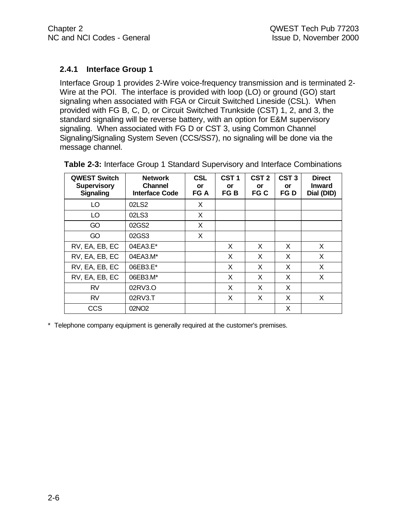#### **2.4.1 Interface Group 1**

Interface Group 1 provides 2-Wire voice-frequency transmission and is terminated 2- Wire at the POI. The interface is provided with loop (LO) or ground (GO) start signaling when associated with FGA or Circuit Switched Lineside (CSL). When provided with FG B, C, D, or Circuit Switched Trunkside (CST) 1, 2, and 3, the standard signaling will be reverse battery, with an option for E&M supervisory signaling. When associated with FG D or CST 3, using Common Channel Signaling/Signaling System Seven (CCS/SS7), no signaling will be done via the message channel.

| <b>QWEST Switch</b><br><b>Supervisory</b><br><b>Signaling</b> | <b>Network</b><br><b>Channel</b><br><b>Interface Code</b> | <b>CSL</b><br>or<br>FG A | CST <sub>1</sub><br>or<br>FG B | CST <sub>2</sub><br><b>or</b><br>FG C | CST <sub>3</sub><br>or<br>FG D | <b>Direct</b><br><b>Inward</b><br>Dial (DID) |
|---------------------------------------------------------------|-----------------------------------------------------------|--------------------------|--------------------------------|---------------------------------------|--------------------------------|----------------------------------------------|
| LO                                                            | 02LS2                                                     | X                        |                                |                                       |                                |                                              |
| LO                                                            | 02LS3                                                     | X                        |                                |                                       |                                |                                              |
| GO                                                            | 02GS2                                                     | X                        |                                |                                       |                                |                                              |
| GO                                                            | 02GS3                                                     | X                        |                                |                                       |                                |                                              |
| RV, EA, EB, EC                                                | 04EA3.E*                                                  |                          | X                              | X                                     | X                              | X                                            |
| RV, EA, EB, EC                                                | 04EA3.M*                                                  |                          | X                              | X                                     | X                              | X                                            |
| RV, EA, EB, EC                                                | 06EB3.E*                                                  |                          | X                              | X                                     | X                              | X                                            |
| RV, EA, EB, EC                                                | 06EB3.M*                                                  |                          | X                              | X                                     | X                              | X                                            |
| <b>RV</b>                                                     | 02RV3.O                                                   |                          | X                              | X                                     | X                              |                                              |
| <b>RV</b>                                                     | 02RV3.T                                                   |                          | X                              | X                                     | X                              | X                                            |
| <b>CCS</b>                                                    | 02NO <sub>2</sub>                                         |                          |                                |                                       | X                              |                                              |

**Table 2-3:** Interface Group 1 Standard Supervisory and Interface Combinations

\* Telephone company equipment is generally required at the customer's premises.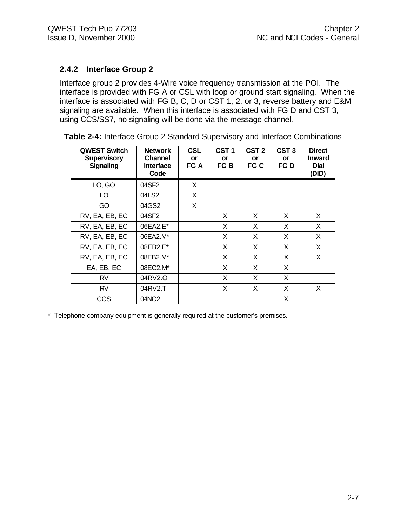#### **2.4.2 Interface Group 2**

Interface group 2 provides 4-Wire voice frequency transmission at the POI. The interface is provided with FG A or CSL with loop or ground start signaling. When the interface is associated with FG B, C, D or CST 1, 2, or 3, reverse battery and E&M signaling are available. When this interface is associated with FG D and CST 3, using CCS/SS7, no signaling will be done via the message channel.

| <b>QWEST Switch</b><br><b>Supervisory</b><br><b>Signaling</b> | <b>Network</b><br><b>Channel</b><br><b>Interface</b><br>Code | <b>CSL</b><br>or<br>FG A | CST <sub>1</sub><br>or<br>FG B | CST <sub>2</sub><br>or<br>FG C | CST <sub>3</sub><br>or<br>FG D | <b>Direct</b><br><b>Inward</b><br><b>Dial</b><br>(DID) |
|---------------------------------------------------------------|--------------------------------------------------------------|--------------------------|--------------------------------|--------------------------------|--------------------------------|--------------------------------------------------------|
| LO, GO                                                        | 04SF2                                                        | X                        |                                |                                |                                |                                                        |
| LO.                                                           | 04LS2                                                        | X                        |                                |                                |                                |                                                        |
| GO                                                            | 04GS2                                                        | X                        |                                |                                |                                |                                                        |
| RV, EA, EB, EC                                                | 04SF2                                                        |                          | X                              | X                              | X                              | X                                                      |
| RV, EA, EB, EC                                                | 06EA2.E*                                                     |                          | X                              | X                              | X                              | X                                                      |
| RV, EA, EB, EC                                                | 06EA2.M*                                                     |                          | X                              | X                              | X                              | X                                                      |
| RV, EA, EB, EC                                                | 08EB2.E*                                                     |                          | X                              | X                              | X                              | X                                                      |
| RV, EA, EB, EC                                                | 08EB2.M*                                                     |                          | X                              | X                              | X                              | X                                                      |
| EA, EB, EC                                                    | 08EC2.M*                                                     |                          | X                              | X                              | X                              |                                                        |
| <b>RV</b>                                                     | 04RV2.O                                                      |                          | X                              | X                              | X                              |                                                        |
| <b>RV</b>                                                     | 04RV2.T                                                      |                          | X                              | X                              | X                              | X                                                      |
| CCS                                                           | 04NO <sub>2</sub>                                            |                          |                                |                                | X                              |                                                        |

**Table 2-4:** Interface Group 2 Standard Supervisory and Interface Combinations

\* Telephone company equipment is generally required at the customer's premises.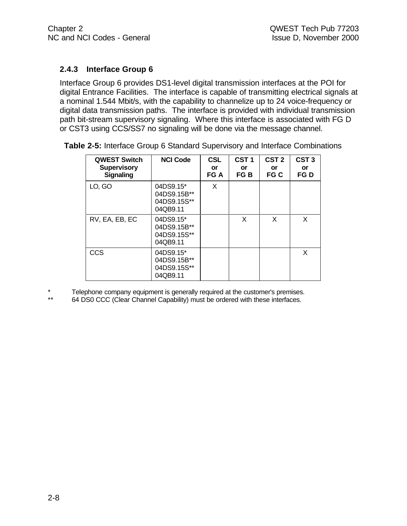#### **2.4.3 Interface Group 6**

Interface Group 6 provides DS1-level digital transmission interfaces at the POI for digital Entrance Facilities. The interface is capable of transmitting electrical signals at a nominal 1.544 Mbit/s, with the capability to channelize up to 24 voice-frequency or digital data transmission paths. The interface is provided with individual transmission path bit-stream supervisory signaling. Where this interface is associated with FG D or CST3 using CCS/SS7 no signaling will be done via the message channel.

| <b>QWEST Switch</b><br><b>Supervisory</b><br><b>Signaling</b> | <b>NCI Code</b>                                     | <b>CSL</b><br>or<br>FG A | CST <sub>1</sub><br>or<br>FG B | CST <sub>2</sub><br>or<br>FG C | CST <sub>3</sub><br>or<br>FG D |
|---------------------------------------------------------------|-----------------------------------------------------|--------------------------|--------------------------------|--------------------------------|--------------------------------|
| LO, GO                                                        | 04DS9.15*<br>04DS9.15B**<br>04DS9.15S**<br>04QB9.11 | X                        |                                |                                |                                |
| RV, EA, EB, EC                                                | 04DS9.15*<br>04DS9.15B**<br>04DS9.15S**<br>04QB9.11 |                          | X                              | X                              | X                              |
| CCS                                                           | 04DS9.15*<br>04DS9.15B**<br>04DS9.15S**<br>04QB9.11 |                          |                                |                                | X                              |

**Table 2-5:** Interface Group 6 Standard Supervisory and Interface Combinations

\* Telephone company equipment is generally required at the customer's premises.

64 DS0 CCC (Clear Channel Capability) must be ordered with these interfaces.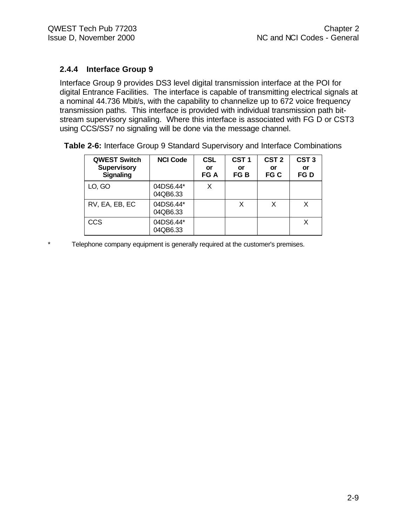#### **2.4.4 Interface Group 9**

Interface Group 9 provides DS3 level digital transmission interface at the POI for digital Entrance Facilities. The interface is capable of transmitting electrical signals at a nominal 44.736 Mbit/s, with the capability to channelize up to 672 voice frequency transmission paths. This interface is provided with individual transmission path bitstream supervisory signaling. Where this interface is associated with FG D or CST3 using CCS/SS7 no signaling will be done via the message channel.

| <b>QWEST Switch</b><br><b>Supervisory</b><br><b>Signaling</b> | <b>NCI Code</b>       | <b>CSL</b><br>or<br>FG A | CST <sub>1</sub><br>or<br>FG B | CST <sub>2</sub><br>or<br>FG C | CST <sub>3</sub><br>or<br>FG D |
|---------------------------------------------------------------|-----------------------|--------------------------|--------------------------------|--------------------------------|--------------------------------|
| LO, GO                                                        | 04DS6.44*<br>04QB6.33 |                          |                                |                                |                                |
| RV, EA, EB, EC                                                | 04DS6.44*<br>04QB6.33 |                          | X                              |                                |                                |
| <b>CCS</b>                                                    | 04DS6.44*<br>04QB6.33 |                          |                                |                                |                                |

**Table 2-6:** Interface Group 9 Standard Supervisory and Interface Combinations

\* Telephone company equipment is generally required at the customer's premises.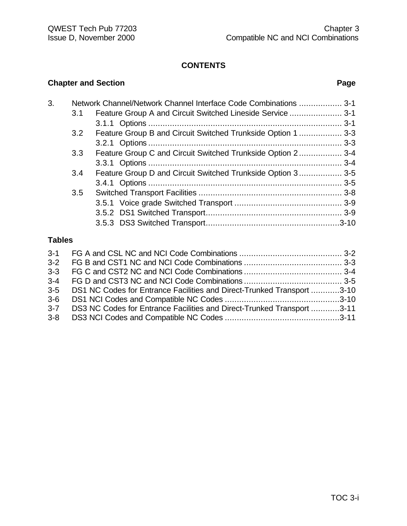#### **CONTENTS**

### **Chapter and Section Page**

| 3. |                  | Network Channel/Network Channel Interface Code Combinations  3-1 |  |
|----|------------------|------------------------------------------------------------------|--|
|    | 3.1              | Feature Group A and Circuit Switched Lineside Service  3-1       |  |
|    |                  |                                                                  |  |
|    | 3.2              | Feature Group B and Circuit Switched Trunkside Option 1  3-3     |  |
|    |                  |                                                                  |  |
|    | 3.3 <sub>2</sub> | Feature Group C and Circuit Switched Trunkside Option 2 3-4      |  |
|    |                  |                                                                  |  |
|    | 3.4              | Feature Group D and Circuit Switched Trunkside Option 3 3-5      |  |
|    |                  |                                                                  |  |
|    | 3.5              |                                                                  |  |
|    |                  |                                                                  |  |
|    |                  |                                                                  |  |
|    |                  |                                                                  |  |
|    |                  |                                                                  |  |

#### **Tables**

| $3-3$                                                                  |  |
|------------------------------------------------------------------------|--|
|                                                                        |  |
| DS1 NC Codes for Entrance Facilities and Direct-Trunked Transport 3-10 |  |
|                                                                        |  |
| DS3 NC Codes for Entrance Facilities and Direct-Trunked Transport 3-11 |  |
| $3 - 8$                                                                |  |
|                                                                        |  |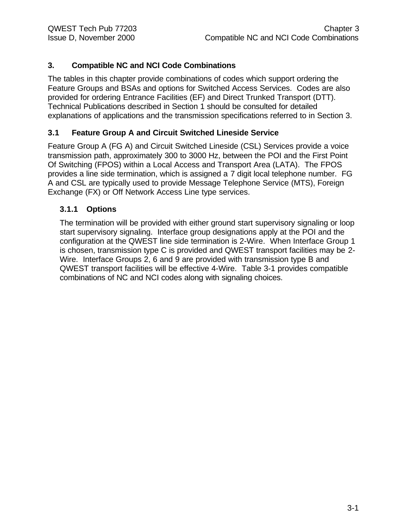#### **3. Compatible NC and NCI Code Combinations**

The tables in this chapter provide combinations of codes which support ordering the Feature Groups and BSAs and options for Switched Access Services. Codes are also provided for ordering Entrance Facilities (EF) and Direct Trunked Transport (DTT). Technical Publications described in Section 1 should be consulted for detailed explanations of applications and the transmission specifications referred to in Section 3.

#### **3.1 Feature Group A and Circuit Switched Lineside Service**

Feature Group A (FG A) and Circuit Switched Lineside (CSL) Services provide a voice transmission path, approximately 300 to 3000 Hz, between the POI and the First Point Of Switching (FPOS) within a Local Access and Transport Area (LATA). The FPOS provides a line side termination, which is assigned a 7 digit local telephone number. FG A and CSL are typically used to provide Message Telephone Service (MTS), Foreign Exchange (FX) or Off Network Access Line type services.

#### **3.1.1 Options**

The termination will be provided with either ground start supervisory signaling or loop start supervisory signaling. Interface group designations apply at the POI and the configuration at the QWEST line side termination is 2-Wire. When Interface Group 1 is chosen, transmission type C is provided and QWEST transport facilities may be 2- Wire. Interface Groups 2, 6 and 9 are provided with transmission type B and QWEST transport facilities will be effective 4-Wire. Table 3-1 provides compatible combinations of NC and NCI codes along with signaling choices.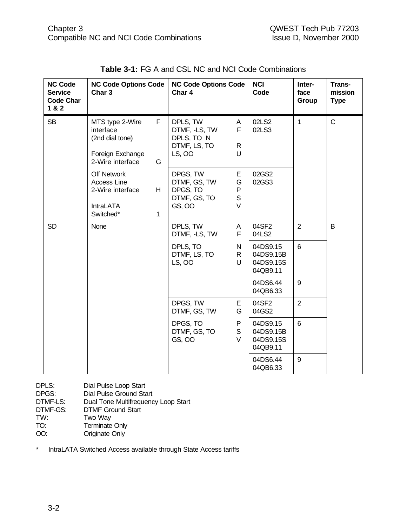| <b>NC Code</b><br><b>Service</b><br><b>Code Char</b><br>1&8&2 | <b>NC Code Options Code</b><br>Char <sub>3</sub>                                        |                    | <b>NC Code Options Code</b><br>Char 4                             |                                              | <b>NCI</b><br>Code                             | Inter-<br>face<br>Group | Trans-<br>mission<br><b>Type</b> |
|---------------------------------------------------------------|-----------------------------------------------------------------------------------------|--------------------|-------------------------------------------------------------------|----------------------------------------------|------------------------------------------------|-------------------------|----------------------------------|
| <b>SB</b>                                                     | MTS type 2-Wire<br>interface<br>(2nd dial tone)<br>Foreign Exchange<br>2-Wire interface | F.<br>G            | DPLS, TW<br>DTMF, -LS, TW<br>DPLS, TO N<br>DTMF, LS, TO<br>LS, OO | A<br>F<br>R<br>U                             | 02LS2<br>02LS3                                 | $\mathbf{1}$            | $\mathsf{C}$                     |
|                                                               | <b>Off Network</b><br>Access Line<br>2-Wire interface<br><b>IntraLATA</b><br>Switched*  | H.<br>$\mathbf{1}$ | DPGS, TW<br>DTMF, GS, TW<br>DPGS, TO<br>DTMF, GS, TO<br>GS, OO    | Ε<br>G<br>${\sf P}$<br>$\mathsf S$<br>$\vee$ | 02GS2<br>02GS3                                 |                         |                                  |
| <b>SD</b>                                                     | None                                                                                    |                    | DPLS, TW<br>DTMF, -LS, TW                                         | A<br>F                                       | 04SF2<br>04LS2                                 | $\overline{2}$          | B                                |
|                                                               |                                                                                         |                    | DPLS, TO<br>DTMF, LS, TO<br>LS, OO                                | N<br>$\mathsf R$<br>U                        | 04DS9.15<br>04DS9.15B<br>04DS9.15S<br>04QB9.11 | 6                       |                                  |
|                                                               |                                                                                         |                    |                                                                   |                                              | 04DS6.44<br>04QB6.33                           | 9                       |                                  |
|                                                               |                                                                                         |                    | DPGS, TW<br>DTMF, GS, TW                                          | Е<br>G                                       | 04SF2<br>04GS2                                 | $\overline{2}$          |                                  |
|                                                               |                                                                                         |                    | DPGS, TO<br>DTMF, GS, TO<br>GS, OO                                | P<br>$\mathsf S$<br>V                        | 04DS9.15<br>04DS9.15B<br>04DS9.15S<br>04QB9.11 | $6\phantom{a}$          |                                  |
|                                                               |                                                                                         |                    |                                                                   |                                              | 04DS6.44<br>04QB6.33                           | $9\,$                   |                                  |

DPLS: Dial Pulse Loop Start DPGS: Dial Pulse Ground Start

DTMF-LS: Dual Tone Multifrequency Loop Start<br>DTMF-GS: DTMF Ground Start

DTMF-GS: DTMF Ground Start<br>TW: Two Way

- Two Way
- TO: Terminate Only
- OO: Originate Only

\* IntraLATA Switched Access available through State Access tariffs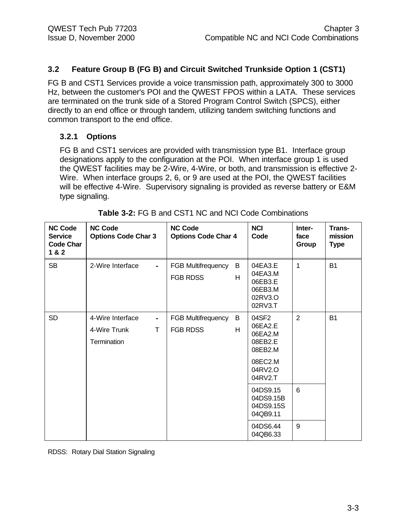#### **3.2 Feature Group B (FG B) and Circuit Switched Trunkside Option 1 (CST1)**

FG B and CST1 Services provide a voice transmission path, approximately 300 to 3000 Hz, between the customer's POI and the QWEST FPOS within a LATA. These services are terminated on the trunk side of a Stored Program Control Switch (SPCS), either directly to an end office or through tandem, utilizing tandem switching functions and common transport to the end office.

#### **3.2.1 Options**

FG B and CST1 services are provided with transmission type B1. Interface group designations apply to the configuration at the POI. When interface group 1 is used the QWEST facilities may be 2-Wire, 4-Wire, or both, and transmission is effective 2- Wire. When interface groups 2, 6, or 9 are used at the POI, the QWEST facilities will be effective 4-Wire. Supervisory signaling is provided as reverse battery or E&M type signaling.

| <b>NC Code</b><br><b>Service</b><br><b>Code Char</b><br>1 & 2 | <b>NC Code</b><br><b>Options Code Char 3</b>                            | <b>NC Code</b><br><b>Options Code Char 4</b>           | <b>NCI</b><br>Code                                                                 | Inter-<br>face<br>Group | Trans-<br>mission<br><b>Type</b> |
|---------------------------------------------------------------|-------------------------------------------------------------------------|--------------------------------------------------------|------------------------------------------------------------------------------------|-------------------------|----------------------------------|
| <b>SB</b>                                                     | 2-Wire Interface<br>$\blacksquare$                                      | B<br><b>FGB Multifrequency</b><br>H<br><b>FGB RDSS</b> | 04EA3.E<br>04EA3.M<br>06EB3.E<br>06EB3.M<br>02RV3.O<br>02RV3.T                     | $\mathbf 1$             | <b>B1</b>                        |
| <b>SD</b>                                                     | 4-Wire Interface<br>$\blacksquare$<br>T.<br>4-Wire Trunk<br>Termination | <b>FGB Multifrequency</b><br>B<br><b>FGB RDSS</b><br>H | 04SF2<br>06EA2.E<br>06EA2.M<br>08EB2.E<br>08EB2.M<br>08EC2.M<br>04RV2.O<br>04RV2.T | 2                       | <b>B1</b>                        |
|                                                               |                                                                         |                                                        | 04DS9.15<br>04DS9.15B<br>04DS9.15S<br>04QB9.11                                     | 6                       |                                  |
|                                                               |                                                                         |                                                        | 04DS6.44<br>04QB6.33                                                               | 9                       |                                  |

| Table 3-2: FG B and CST1 NC and NCI Code Combinations |
|-------------------------------------------------------|
|                                                       |

RDSS: Rotary Dial Station Signaling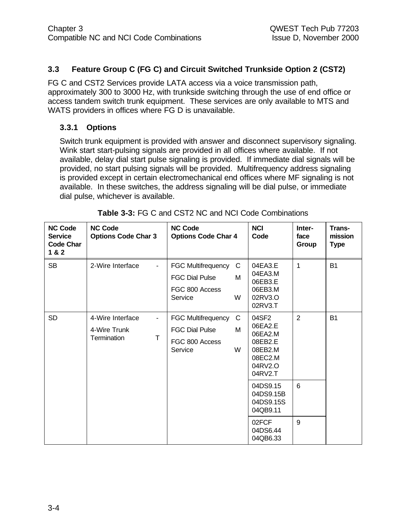#### **3.3 Feature Group C (FG C) and Circuit Switched Trunkside Option 2 (CST2)**

FG C and CST2 Services provide LATA access via a voice transmission path, approximately 300 to 3000 Hz, with trunkside switching through the use of end office or access tandem switch trunk equipment. These services are only available to MTS and WATS providers in offices where FG D is unavailable.

#### **3.3.1 Options**

Switch trunk equipment is provided with answer and disconnect supervisory signaling. Wink start start-pulsing signals are provided in all offices where available. If not available, delay dial start pulse signaling is provided. If immediate dial signals will be provided, no start pulsing signals will be provided. Multifrequency address signaling is provided except in certain electromechanical end offices where MF signaling is not available. In these switches, the address signaling will be dial pulse, or immediate dial pulse, whichever is available.

| <b>NC Code</b><br><b>Service</b><br><b>Code Char</b><br>1 & 2 | <b>NC Code</b><br><b>Options Code Char 3</b>              | <b>NC Code</b><br><b>Options Code Char 4</b>                                                   | <b>NCI</b><br>Code                                                                 | Inter-<br>face<br>Group | Trans-<br>mission<br><b>Type</b> |
|---------------------------------------------------------------|-----------------------------------------------------------|------------------------------------------------------------------------------------------------|------------------------------------------------------------------------------------|-------------------------|----------------------------------|
| <b>SB</b>                                                     | 2-Wire Interface                                          | <b>FGC Multifrequency</b><br>C<br>M<br><b>FGC Dial Pulse</b><br>FGC 800 Access<br>W<br>Service | 04EA3.E<br>04EA3.M<br>06EB3.E<br>06EB3.M<br>02RV3.O<br>02RV3.T                     | 1                       | <b>B1</b>                        |
| <b>SD</b>                                                     | 4-Wire Interface<br>٠<br>4-Wire Trunk<br>Termination<br>т | <b>FGC Multifrequency</b><br>C<br><b>FGC Dial Pulse</b><br>M<br>FGC 800 Access<br>Service<br>W | 04SF2<br>06EA2.E<br>06EA2.M<br>08EB2.E<br>08EB2.M<br>08EC2.M<br>04RV2.O<br>04RV2.T | $\overline{2}$          | <b>B1</b>                        |
|                                                               |                                                           |                                                                                                | 04DS9.15<br>04DS9.15B<br>04DS9.15S<br>04QB9.11                                     | 6                       |                                  |
|                                                               |                                                           |                                                                                                | 02FCF<br>04DS6.44<br>04QB6.33                                                      | 9                       |                                  |

| Table 3-3: FG C and CST2 NC and NCI Code Combinations |
|-------------------------------------------------------|
|-------------------------------------------------------|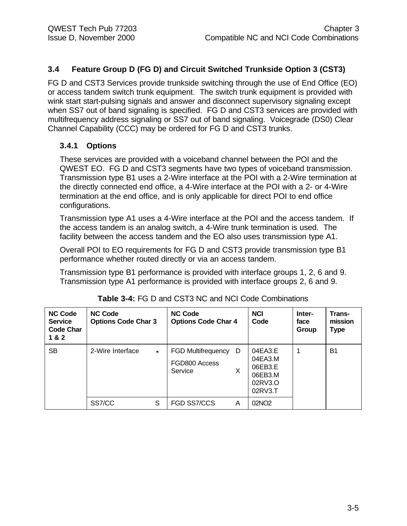#### **3.4 Feature Group D (FG D) and Circuit Switched Trunkside Option 3 (CST3)**

FG D and CST3 Services provide trunkside switching through the use of End Office (EO) or access tandem switch trunk equipment. The switch trunk equipment is provided with wink start start-pulsing signals and answer and disconnect supervisory signaling except when SS7 out of band signaling is specified. FG D and CST3 services are provided with multifrequency address signaling or SS7 out of band signaling. Voicegrade (DS0) Clear Channel Capability (CCC) may be ordered for FG D and CST3 trunks.

#### **3.4.1 Options**

These services are provided with a voiceband channel between the POI and the QWEST EO. FG D and CST3 segments have two types of voiceband transmission. Transmission type B1 uses a 2-Wire interface at the POI with a 2-Wire termination at the directly connected end office, a 4-Wire interface at the POI with a 2- or 4-Wire termination at the end office, and is only applicable for direct POI to end office configurations.

Transmission type A1 uses a 4-Wire interface at the POI and the access tandem. If the access tandem is an analog switch, a 4-Wire trunk termination is used. The facility between the access tandem and the EO also uses transmission type A1.

Overall POI to EO requirements for FG D and CST3 provide transmission type B1 performance whether routed directly or via an access tandem.

Transmission type B1 performance is provided with interface groups 1, 2, 6 and 9. Transmission type A1 performance is provided with interface groups 2, 6 and 9.

| <b>NC Code</b><br><b>Service</b><br><b>Code Char</b><br>1 & 2 | <b>NC Code</b><br><b>Options Code Char 3</b> | <b>NC Code</b><br><b>Options Code Char 4</b>                    | <b>NCI</b><br>Code                                             | Inter-<br>face<br>Group | Trans-<br>mission<br><b>Type</b> |
|---------------------------------------------------------------|----------------------------------------------|-----------------------------------------------------------------|----------------------------------------------------------------|-------------------------|----------------------------------|
| <b>SB</b>                                                     | 2-Wire Interface<br>$\blacksquare$           | <b>FGD Multifrequency</b><br>D<br>FGD800 Access<br>X<br>Service | 04EA3.E<br>04EA3.M<br>06EB3.E<br>06EB3.M<br>02RV3.O<br>02RV3.T |                         | B <sub>1</sub>                   |
|                                                               | SS7/CC<br>S                                  | FGD SS7/CCS<br>Α                                                | 02NO <sub>2</sub>                                              |                         |                                  |

| Table 3-4: FG D and CST3 NC and NCI Code Combinations |  |
|-------------------------------------------------------|--|
|-------------------------------------------------------|--|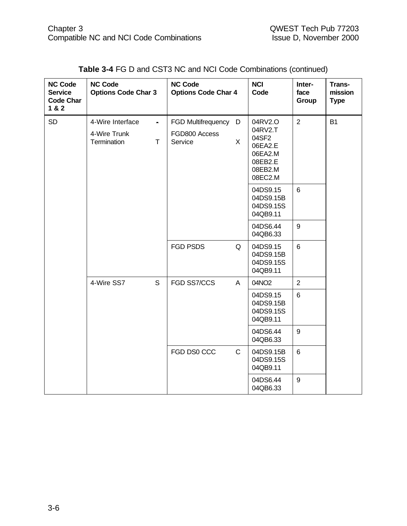| <b>NC Code</b><br><b>Service</b><br><b>Code Char</b><br>1 & 2 | <b>NC Code</b><br><b>Options Code Char 3</b> | <b>NC Code</b>           | <b>Options Code Char 4</b> | <b>NCI</b><br>Code                                                      | Inter-<br>face<br>Group | Trans-<br>mission<br><b>Type</b> |
|---------------------------------------------------------------|----------------------------------------------|--------------------------|----------------------------|-------------------------------------------------------------------------|-------------------------|----------------------------------|
| <b>SD</b>                                                     | 4-Wire Interface<br>$\blacksquare$           |                          | FGD Multifrequency<br>D    | 04RV2.O                                                                 | $\overline{2}$          | <b>B1</b>                        |
|                                                               | 4-Wire Trunk<br>Termination<br>T             | FGD800 Access<br>Service | X.                         | 04RV2.T<br>04SF2<br>06EA2.E<br>06EA2.M<br>08EB2.E<br>08EB2.M<br>08EC2.M |                         |                                  |
|                                                               |                                              |                          |                            | 04DS9.15<br>04DS9.15B<br>04DS9.15S<br>04QB9.11                          | 6                       |                                  |
|                                                               |                                              |                          |                            | 04DS6.44<br>04QB6.33                                                    | 9                       |                                  |
|                                                               |                                              | <b>FGD PSDS</b>          | Q                          | 04DS9.15<br>04DS9.15B<br>04DS9.15S<br>04QB9.11                          | $6\phantom{.}6$         |                                  |
|                                                               | S<br>4-Wire SS7                              | FGD SS7/CCS              | A                          | 04NO2                                                                   | $\overline{2}$          |                                  |
|                                                               |                                              |                          |                            | 04DS9.15<br>04DS9.15B<br>04DS9.15S<br>04QB9.11                          | 6                       |                                  |
|                                                               |                                              |                          |                            | 04DS6.44<br>04QB6.33                                                    | $9\,$                   |                                  |
|                                                               |                                              | FGD DS0 CCC              | $\mathsf{C}$               | 04DS9.15B<br>04DS9.15S<br>04QB9.11                                      | $6\phantom{a}$          |                                  |
|                                                               |                                              |                          |                            | 04DS6.44<br>04QB6.33                                                    | $9\,$                   |                                  |

#### **Table 3-4** FG D and CST3 NC and NCI Code Combinations (continued)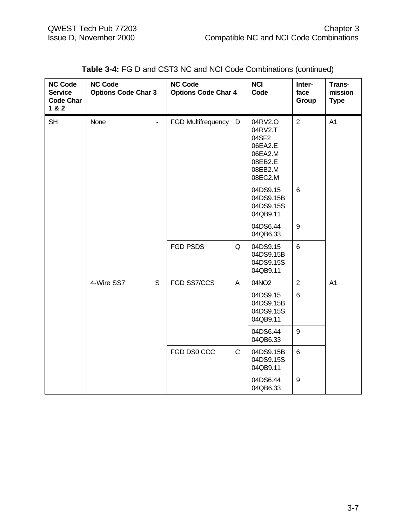| <b>NC Code</b><br><b>Service</b><br><b>Code Char</b><br>1 & 2 | <b>NC Code</b><br><b>Options Code Char 3</b> | <b>NC Code</b><br><b>Options Code Char 4</b> | <b>NCI</b><br>Code                                                                 | Inter-<br>face<br>Group | Trans-<br>mission<br><b>Type</b> |
|---------------------------------------------------------------|----------------------------------------------|----------------------------------------------|------------------------------------------------------------------------------------|-------------------------|----------------------------------|
| <b>SH</b>                                                     | None<br>$\blacksquare$                       | FGD Multifrequency D                         | 04RV2.O<br>04RV2.T<br>04SF2<br>06EA2.E<br>06EA2.M<br>08EB2.E<br>08EB2.M<br>08EC2.M | $\overline{2}$          | A <sub>1</sub>                   |
|                                                               |                                              |                                              | 04DS9.15<br>04DS9.15B<br>04DS9.15S<br>04QB9.11                                     | 6                       |                                  |
|                                                               |                                              |                                              | 04DS6.44<br>04QB6.33                                                               | $\boldsymbol{9}$        |                                  |
|                                                               |                                              | <b>FGD PSDS</b><br>Q                         | 04DS9.15<br>04DS9.15B<br>04DS9.15S<br>04QB9.11                                     | $6\phantom{1}$          |                                  |
|                                                               | S<br>4-Wire SS7                              | FGD SS7/CCS<br>A                             | 04NO2                                                                              | $\overline{2}$          | A <sub>1</sub>                   |
|                                                               |                                              |                                              | 04DS9.15<br>04DS9.15B<br>04DS9.15S<br>04QB9.11                                     | $6\phantom{1}$          |                                  |
|                                                               |                                              |                                              | 04DS6.44<br>04QB6.33                                                               | $\boldsymbol{9}$        |                                  |
|                                                               |                                              | FGD DS0 CCC<br>$\mathsf C$                   | 04DS9.15B<br>04DS9.15S<br>04QB9.11                                                 | $\,6\,$                 |                                  |
|                                                               |                                              |                                              | 04DS6.44<br>04QB6.33                                                               | $9\,$                   |                                  |

#### **Table 3-4:** FG D and CST3 NC and NCI Code Combinations (continued)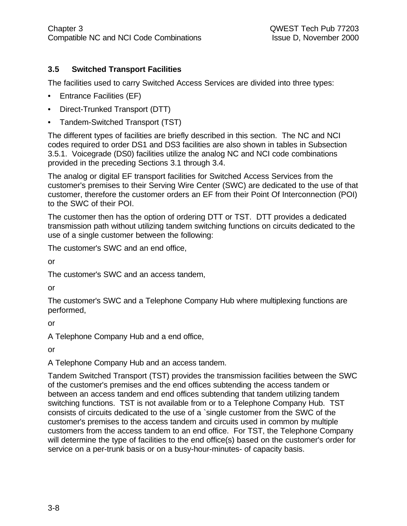#### **3.5 Switched Transport Facilities**

The facilities used to carry Switched Access Services are divided into three types:

- Entrance Facilities (EF)
- Direct-Trunked Transport (DTT)
- Tandem-Switched Transport (TST)

The different types of facilities are briefly described in this section. The NC and NCI codes required to order DS1 and DS3 facilities are also shown in tables in Subsection 3.5.1. Voicegrade (DS0) facilities utilize the analog NC and NCI code combinations provided in the preceding Sections 3.1 through 3.4.

The analog or digital EF transport facilities for Switched Access Services from the customer's premises to their Serving Wire Center (SWC) are dedicated to the use of that customer, therefore the customer orders an EF from their Point Of Interconnection (POI) to the SWC of their POI.

The customer then has the option of ordering DTT or TST. DTT provides a dedicated transmission path without utilizing tandem switching functions on circuits dedicated to the use of a single customer between the following:

The customer's SWC and an end office,

or

The customer's SWC and an access tandem,

or

The customer's SWC and a Telephone Company Hub where multiplexing functions are performed,

or

A Telephone Company Hub and a end office,

or

A Telephone Company Hub and an access tandem.

Tandem Switched Transport (TST) provides the transmission facilities between the SWC of the customer's premises and the end offices subtending the access tandem or between an access tandem and end offices subtending that tandem utilizing tandem switching functions. TST is not available from or to a Telephone Company Hub. TST consists of circuits dedicated to the use of a `single customer from the SWC of the customer's premises to the access tandem and circuits used in common by multiple customers from the access tandem to an end office. For TST, the Telephone Company will determine the type of facilities to the end office(s) based on the customer's order for service on a per-trunk basis or on a busy-hour-minutes- of capacity basis.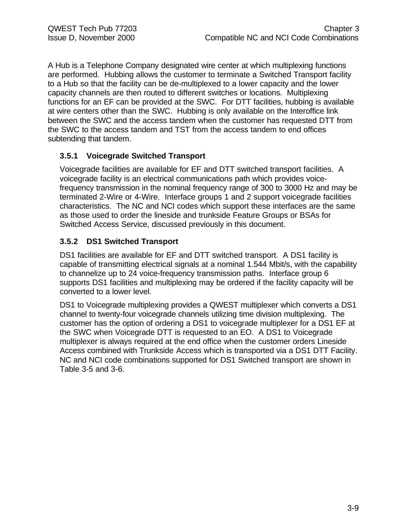A Hub is a Telephone Company designated wire center at which multiplexing functions are performed. Hubbing allows the customer to terminate a Switched Transport facility to a Hub so that the facility can be de-multiplexed to a lower capacity and the lower capacity channels are then routed to different switches or locations. Multiplexing functions for an EF can be provided at the SWC. For DTT facilities, hubbing is available at wire centers other than the SWC. Hubbing is only available on the Interoffice link between the SWC and the access tandem when the customer has requested DTT from the SWC to the access tandem and TST from the access tandem to end offices subtending that tandem.

#### **3.5.1 Voicegrade Switched Transport**

Voicegrade facilities are available for EF and DTT switched transport facilities. A voicegrade facility is an electrical communications path which provides voicefrequency transmission in the nominal frequency range of 300 to 3000 Hz and may be terminated 2-Wire or 4-Wire. Interface groups 1 and 2 support voicegrade facilities characteristics. The NC and NCI codes which support these interfaces are the same as those used to order the lineside and trunkside Feature Groups or BSAs for Switched Access Service, discussed previously in this document.

#### **3.5.2 DS1 Switched Transport**

DS1 facilities are available for EF and DTT switched transport. A DS1 facility is capable of transmitting electrical signals at a nominal 1.544 Mbit/s, with the capability to channelize up to 24 voice-frequency transmission paths. Interface group 6 supports DS1 facilities and multiplexing may be ordered if the facility capacity will be converted to a lower level.

DS1 to Voicegrade multiplexing provides a QWEST multiplexer which converts a DS1 channel to twenty-four voicegrade channels utilizing time division multiplexing. The customer has the option of ordering a DS1 to voicegrade multiplexer for a DS1 EF at the SWC when Voicegrade DTT is requested to an EO. A DS1 to Voicegrade multiplexer is always required at the end office when the customer orders Lineside Access combined with Trunkside Access which is transported via a DS1 DTT Facility. NC and NCI code combinations supported for DS1 Switched transport are shown in Table 3-5 and 3-6.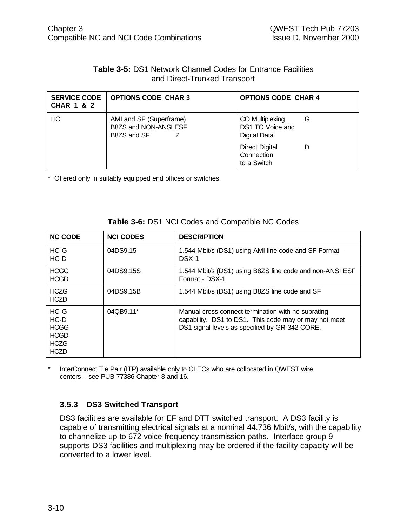#### **Table 3-5:** DS1 Network Channel Codes for Entrance Facilities and Direct-Trunked Transport

| <b>SERVICE CODE</b><br><b>CHAR 1 &amp; 2</b> | <b>OPTIONS CODE CHAR 3</b>                                      | <b>OPTIONS CODE CHAR 4</b>                               |
|----------------------------------------------|-----------------------------------------------------------------|----------------------------------------------------------|
| HC                                           | AMI and SF (Superframe)<br>B8ZS and NON-ANSI ESF<br>B8ZS and SF | CO Multiplexing<br>G<br>DS1 TO Voice and<br>Digital Data |
|                                              |                                                                 | <b>Direct Digital</b><br>Connection<br>to a Switch       |

\* Offered only in suitably equipped end offices or switches.

| <b>NC CODE</b>                                                               | <b>NCI CODES</b> | <b>DESCRIPTION</b>                                                                                                                                            |
|------------------------------------------------------------------------------|------------------|---------------------------------------------------------------------------------------------------------------------------------------------------------------|
| $HC-G$<br>$HC-D$                                                             | 04DS9.15         | 1.544 Mbit/s (DS1) using AMI line code and SF Format -<br>DSX-1                                                                                               |
| <b>HCGG</b><br><b>HCGD</b>                                                   | 04DS9.15S        | 1.544 Mbit/s (DS1) using B8ZS line code and non-ANSI ESF<br>Format - DSX-1                                                                                    |
| <b>HCZG</b><br><b>HCZD</b>                                                   | 04DS9.15B        | 1.544 Mbit/s (DS1) using B8ZS line code and SF                                                                                                                |
| $HC-G$<br>$HC-D$<br><b>HCGG</b><br><b>HCGD</b><br><b>HCZG</b><br><b>HCZD</b> | 04QB9.11*        | Manual cross-connect termination with no subrating<br>capability. DS1 to DS1. This code may or may not meet<br>DS1 signal levels as specified by GR-342-CORE. |

**Table 3-6:** DS1 NCI Codes and Compatible NC Codes

InterConnect Tie Pair (ITP) available only to CLECs who are collocated in QWEST wire centers – see PUB 77386 Chapter 8 and 16.

#### **3.5.3 DS3 Switched Transport**

DS3 facilities are available for EF and DTT switched transport. A DS3 facility is capable of transmitting electrical signals at a nominal 44.736 Mbit/s, with the capability to channelize up to 672 voice-frequency transmission paths. Interface group 9 supports DS3 facilities and multiplexing may be ordered if the facility capacity will be converted to a lower level.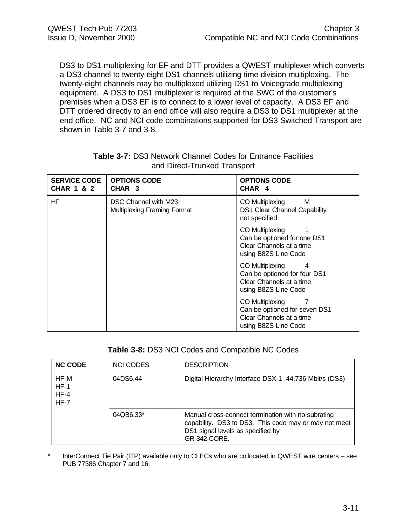DS3 to DS1 multiplexing for EF and DTT provides a QWEST multiplexer which converts a DS3 channel to twenty-eight DS1 channels utilizing time division multiplexing. The twenty-eight channels may be multiplexed utilizing DS1 to Voicegrade multiplexing equipment. A DS3 to DS1 multiplexer is required at the SWC of the customer's premises when a DS3 EF is to connect to a lower level of capacity. A DS3 EF and DTT ordered directly to an end office will also require a DS3 to DS1 multiplexer at the end office. NC and NCI code combinations supported for DS3 Switched Transport are shown in Table 3-7 and 3-8.

| <b>SERVICE CODE</b><br><b>CHAR 1 &amp; 2</b> | <b>OPTIONS CODE</b><br>CHAR <sub>3</sub>                   | <b>OPTIONS CODE</b><br>CHAR <sub>4</sub>                                                                 |
|----------------------------------------------|------------------------------------------------------------|----------------------------------------------------------------------------------------------------------|
| HF                                           | DSC Channel with M23<br><b>Multiplexing Framing Format</b> | M<br>CO Multiplexing<br>DS1 Clear Channel Capability<br>not specified                                    |
|                                              |                                                            | CO Multiplexing<br>Can be optioned for one DS1<br>Clear Channels at a time<br>using B8ZS Line Code       |
|                                              |                                                            | CO Multiplexing<br>4<br>Can be optioned for four DS1<br>Clear Channels at a time<br>using B8ZS Line Code |
|                                              |                                                            | CO Multiplexing<br>Can be optioned for seven DS1<br>Clear Channels at a time<br>using B8ZS Line Code     |

#### **Table 3-7:** DS3 Network Channel Codes for Entrance Facilities and Direct-Trunked Transport

#### **Table 3-8:** DS3 NCI Codes and Compatible NC Codes

| <b>NC CODE</b>                     | <b>NCI CODES</b> | <b>DESCRIPTION</b>                                                                                                                                               |
|------------------------------------|------------------|------------------------------------------------------------------------------------------------------------------------------------------------------------------|
| HF-M<br>$HF-1$<br>$HF-4$<br>$HF-7$ | 04DS6.44         | Digital Hierarchy Interface DSX-1 44.736 Mbit/s (DS3)                                                                                                            |
|                                    | 04QB6.33*        | Manual cross-connect termination with no subrating<br>capability. DS3 to DS3. This code may or may not meet<br>DS1 signal levels as specified by<br>GR-342-CORE. |

InterConnect Tie Pair (ITP) available only to CLECs who are collocated in QWEST wire centers – see PUB 77386 Chapter 7 and 16.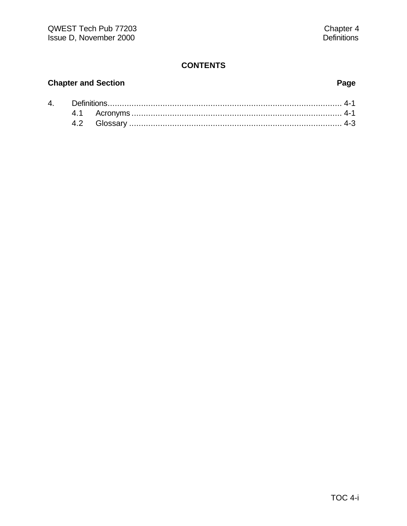#### **CONTENTS**

### **Chapter and Section Page**

| 4. |  |  |
|----|--|--|
|    |  |  |
|    |  |  |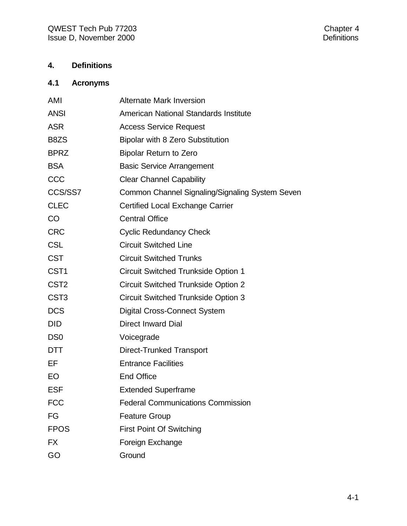#### **4. Definitions**

#### **4.1 Acronyms**

| AMI              | <b>Alternate Mark Inversion</b>                 |
|------------------|-------------------------------------------------|
| <b>ANSI</b>      | American National Standards Institute           |
| <b>ASR</b>       | <b>Access Service Request</b>                   |
| B8ZS             | <b>Bipolar with 8 Zero Substitution</b>         |
| <b>BPRZ</b>      | <b>Bipolar Return to Zero</b>                   |
| <b>BSA</b>       | <b>Basic Service Arrangement</b>                |
| CCC              | <b>Clear Channel Capability</b>                 |
| CCS/SS7          | Common Channel Signaling/Signaling System Seven |
| <b>CLEC</b>      | <b>Certified Local Exchange Carrier</b>         |
| <b>CO</b>        | <b>Central Office</b>                           |
| <b>CRC</b>       | <b>Cyclic Redundancy Check</b>                  |
| <b>CSL</b>       | <b>Circuit Switched Line</b>                    |
| <b>CST</b>       | <b>Circuit Switched Trunks</b>                  |
| CST <sub>1</sub> | <b>Circuit Switched Trunkside Option 1</b>      |
| CST <sub>2</sub> | <b>Circuit Switched Trunkside Option 2</b>      |
| CST <sub>3</sub> | <b>Circuit Switched Trunkside Option 3</b>      |
| <b>DCS</b>       | <b>Digital Cross-Connect System</b>             |
| <b>DID</b>       | <b>Direct Inward Dial</b>                       |
| DS <sub>0</sub>  | Voicegrade                                      |
| <b>DTT</b>       | <b>Direct-Trunked Transport</b>                 |
| EF               | <b>Entrance Facilities</b>                      |
| EO               | <b>End Office</b>                               |
| <b>ESF</b>       | <b>Extended Superframe</b>                      |
| <b>FCC</b>       | <b>Federal Communications Commission</b>        |
| FG               | <b>Feature Group</b>                            |
| <b>FPOS</b>      | <b>First Point Of Switching</b>                 |
| <b>FX</b>        | Foreign Exchange                                |
| GO               | Ground                                          |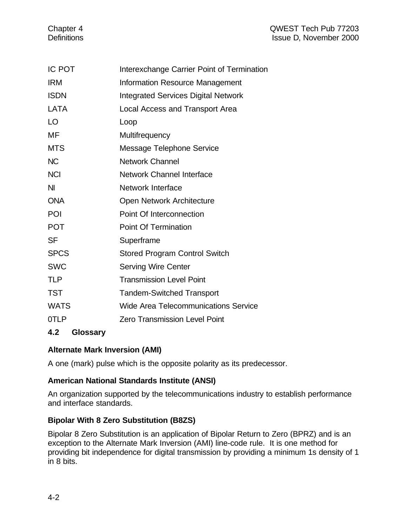#### Chapter 4 QWEST Tech Pub 77203 Definitions **ISSUE D, November 2000**

| <b>IC POT</b> | Interexchange Carrier Point of Termination  |
|---------------|---------------------------------------------|
| <b>IRM</b>    | <b>Information Resource Management</b>      |
| <b>ISDN</b>   | <b>Integrated Services Digital Network</b>  |
| LATA          | <b>Local Access and Transport Area</b>      |
| LO            | Loop                                        |
| МF            | Multifrequency                              |
| <b>MTS</b>    | <b>Message Telephone Service</b>            |
| <b>NC</b>     | <b>Network Channel</b>                      |
| <b>NCI</b>    | <b>Network Channel Interface</b>            |
| NI            | Network Interface                           |
| <b>ONA</b>    | Open Network Architecture                   |
| POI           | Point Of Interconnection                    |
| <b>POT</b>    | <b>Point Of Termination</b>                 |
| <b>SF</b>     | Superframe                                  |
| <b>SPCS</b>   | <b>Stored Program Control Switch</b>        |
| <b>SWC</b>    | <b>Serving Wire Center</b>                  |
| TLP           | <b>Transmission Level Point</b>             |
| <b>TST</b>    | <b>Tandem-Switched Transport</b>            |
| <b>WATS</b>   | <b>Wide Area Telecommunications Service</b> |
| 0TLP          | <b>Zero Transmission Level Point</b>        |
|               |                                             |

#### **4.2 Glossary**

#### **Alternate Mark Inversion (AMI)**

A one (mark) pulse which is the opposite polarity as its predecessor.

#### **American National Standards Institute (ANSI)**

An organization supported by the telecommunications industry to establish performance and interface standards.

#### **Bipolar With 8 Zero Substitution (B8ZS)**

Bipolar 8 Zero Substitution is an application of Bipolar Return to Zero (BPRZ) and is an exception to the Alternate Mark Inversion (AMI) line-code rule. It is one method for providing bit independence for digital transmission by providing a minimum 1s density of 1 in 8 bits.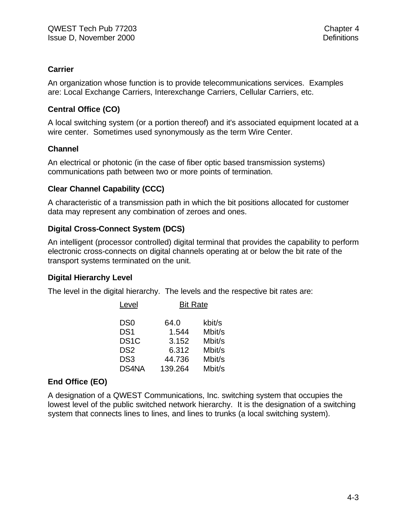#### **Carrier**

An organization whose function is to provide telecommunications services. Examples are: Local Exchange Carriers, Interexchange Carriers, Cellular Carriers, etc.

#### **Central Office (CO)**

A local switching system (or a portion thereof) and it's associated equipment located at a wire center. Sometimes used synonymously as the term Wire Center.

#### **Channel**

An electrical or photonic (in the case of fiber optic based transmission systems) communications path between two or more points of termination.

#### **Clear Channel Capability (CCC)**

A characteristic of a transmission path in which the bit positions allocated for customer data may represent any combination of zeroes and ones.

#### **Digital Cross-Connect System (DCS)**

An intelligent (processor controlled) digital terminal that provides the capability to perform electronic cross-connects on digital channels operating at or below the bit rate of the transport systems terminated on the unit.

#### **Digital Hierarchy Level**

The level in the digital hierarchy. The levels and the respective bit rates are:

| Level             | <b>Bit Rate</b> |        |  |
|-------------------|-----------------|--------|--|
| DS0               | 64.0            | kbit/s |  |
| DS <sub>1</sub>   | 1.544           | Mbit/s |  |
| DS <sub>1</sub> C | 3.152           | Mbit/s |  |
| DS <sub>2</sub>   | 6.312           | Mbit/s |  |
| DS3               | 44.736          | Mbit/s |  |
| DS4NA             | 139.264         | Mbit/s |  |

#### **End Office (EO)**

A designation of a QWEST Communications, Inc. switching system that occupies the lowest level of the public switched network hierarchy. It is the designation of a switching system that connects lines to lines, and lines to trunks (a local switching system).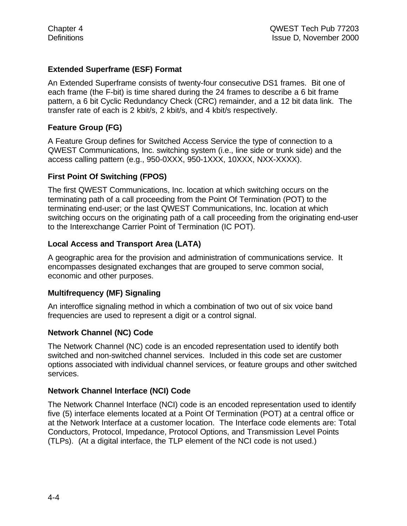#### **Extended Superframe (ESF) Format**

An Extended Superframe consists of twenty-four consecutive DS1 frames. Bit one of each frame (the F-bit) is time shared during the 24 frames to describe a 6 bit frame pattern, a 6 bit Cyclic Redundancy Check (CRC) remainder, and a 12 bit data link. The transfer rate of each is 2 kbit/s, 2 kbit/s, and 4 kbit/s respectively.

#### **Feature Group (FG)**

A Feature Group defines for Switched Access Service the type of connection to a QWEST Communications, Inc. switching system (i.e., line side or trunk side) and the access calling pattern (e.g., 950-0XXX, 950-1XXX, 10XXX, NXX-XXXX).

#### **First Point Of Switching (FPOS)**

The first QWEST Communications, Inc. location at which switching occurs on the terminating path of a call proceeding from the Point Of Termination (POT) to the terminating end-user; or the last QWEST Communications, Inc. location at which switching occurs on the originating path of a call proceeding from the originating end-user to the Interexchange Carrier Point of Termination (IC POT).

#### **Local Access and Transport Area (LATA)**

A geographic area for the provision and administration of communications service. It encompasses designated exchanges that are grouped to serve common social, economic and other purposes.

#### **Multifrequency (MF) Signaling**

An interoffice signaling method in which a combination of two out of six voice band frequencies are used to represent a digit or a control signal.

#### **Network Channel (NC) Code**

The Network Channel (NC) code is an encoded representation used to identify both switched and non-switched channel services. Included in this code set are customer options associated with individual channel services, or feature groups and other switched services.

#### **Network Channel Interface (NCI) Code**

The Network Channel Interface (NCI) code is an encoded representation used to identify five (5) interface elements located at a Point Of Termination (POT) at a central office or at the Network Interface at a customer location. The Interface code elements are: Total Conductors, Protocol, Impedance, Protocol Options, and Transmission Level Points (TLPs). (At a digital interface, the TLP element of the NCI code is not used.)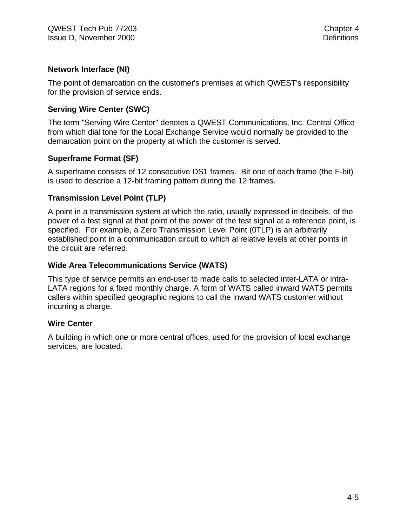#### **Network Interface (NI)**

The point of demarcation on the customer's premises at which QWEST's responsibility for the provision of service ends.

#### **Serving Wire Center (SWC)**

The term "Serving Wire Center" denotes a QWEST Communications, Inc. Central Office from which dial tone for the Local Exchange Service would normally be provided to the demarcation point on the property at which the customer is served.

#### **Superframe Format (SF)**

A superframe consists of 12 consecutive DS1 frames. Bit one of each frame (the F-bit) is used to describe a 12-bit framing pattern during the 12 frames.

#### **Transmission Level Point (TLP)**

A point in a transmission system at which the ratio, usually expressed in decibels, of the power of a test signal at that point of the power of the test signal at a reference point, is specified. For example, a Zero Transmission Level Point (0TLP) is an arbitrarily established point in a communication circuit to which al relative levels at other points in the circuit are referred.

#### **Wide Area Telecommunications Service (WATS)**

This type of service permits an end-user to made calls to selected inter-LATA or intra-LATA regions for a fixed monthly charge. A form of WATS called inward WATS permits callers within specified geographic regions to call the inward WATS customer without incurring a charge.

#### **Wire Center**

A building in which one or more central offices, used for the provision of local exchange services, are located.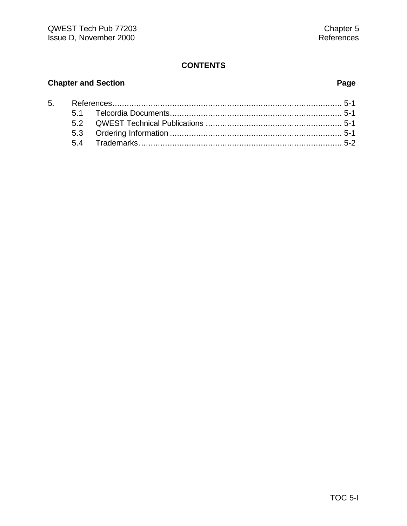#### **CONTENTS**

### **Chapter and Section Page**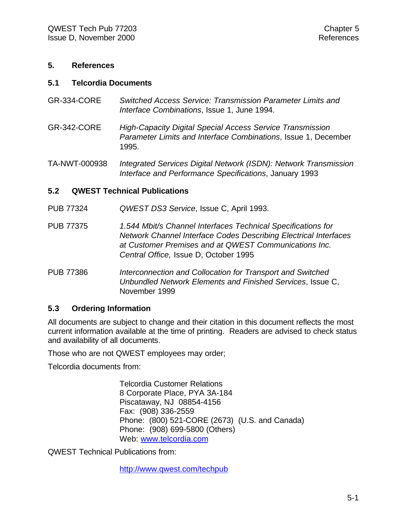#### **5. References**

#### **5.1 Telcordia Documents**

- GR-334-CORE *Switched Access Service: Transmission Parameter Limits and Interface Combinations*, Issue 1, June 1994.
- GR-342-CORE *High-Capacity Digital Special Access Service Transmission Parameter Limits and Interface Combinations*, Issue 1, December 1995.

TA-NWT-000938 *Integrated Services Digital Network (ISDN): Network Transmission Interface and Performance Specifications*, January 1993

#### **5.2 QWEST Technical Publications**

PUB 77324 *QWEST DS3 Service*, Issue C, April 1993.

PUB 77375 *1.544 Mbit/s Channel Interfaces Technical Specifications for Network Channel Interface Codes Describing Electrical Interfaces at Customer Premises and at QWEST Communications Inc. Central Office,* Issue D, October 1995

PUB 77386 *Interconnection and Collocation for Transport and Switched Unbundled Network Elements and Finished Services*, Issue C, November 1999

#### **5.3 Ordering Information**

All documents are subject to change and their citation in this document reflects the most current information available at the time of printing. Readers are advised to check status and availability of all documents.

Those who are not QWEST employees may order;

Telcordia documents from:

Telcordia Customer Relations 8 Corporate Place, PYA 3A-184 Piscataway, NJ 08854-4156 Fax: (908) 336-2559 Phone: (800) 521-CORE (2673) (U.S. and Canada) Phone: (908) 699-5800 (Others) Web: www.telcordia.com

QWEST Technical Publications from:

http://www.qwest.com/techpub